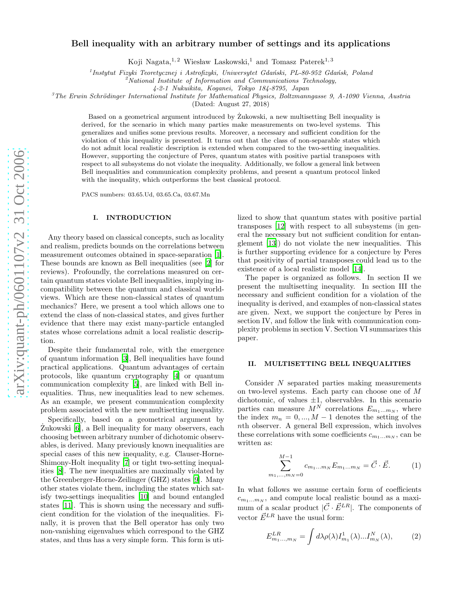# Bell inequality with an arbitrary number of settings and its applications

Koji Nagata,<sup>1,2</sup> Wiesław Laskowski,<sup>1</sup> and Tomasz Paterek<sup>1,3</sup>

<sup>1</sup>Instytut Fizyki Teoretycznej i Astrofizyki, Uniwersytet Gdański, PL-80-952 Gdańsk, Poland  ${}^{2}$ National Institute of Information and Communications Technology,

4-2-1 Nukuikita, Koganei, Tokyo 184-8795, Japan

 $3$ The Erwin Schrödinger International Institute for Mathematical Physics, Boltzmanngasse 9, A-1090 Vienna, Austria

(Dated: August 27, 2018)

Based on a geometrical argument introduced by Zukowski, a new multisetting Bell inequality is derived, for the scenario in which many parties make measurements on two-level systems. This generalizes and unifies some previous results. Moreover, a necessary and sufficient condition for the violation of this inequality is presented. It turns out that the class of non-separable states which do not admit local realistic description is extended when compared to the two-setting inequalities. However, supporting the conjecture of Peres, quantum states with positive partial transposes with respect to all subsystems do not violate the inequality. Additionally, we follow a general link between Bell inequalities and communication complexity problems, and present a quantum protocol linked with the inequality, which outperforms the best classical protocol.

PACS numbers: 03.65.Ud, 03.65.Ca, 03.67.Mn

### I. INTRODUCTION

Any theory based on classical concepts, such as locality and realism, predicts bounds on the correlations between measurement outcomes obtained in space-separation [\[1\]](#page-7-0). These bounds are known as Bell inequalities (see [\[2\]](#page-7-1) for reviews). Profoundly, the correlations measured on certain quantum states violate Bell inequalities, implying incompatibility between the quantum and classical worldviews. Which are these non-classical states of quantum mechanics? Here, we present a tool which allows one to extend the class of non-classical states, and gives further evidence that there may exist many-particle entangled states whose correlations admit a local realistic description.

Despite their fundamental role, with the emergence of quantum information [\[3\]](#page-7-2), Bell inequalities have found practical applications. Quantum advantages of certain protocols, like quantum cryptography [\[4\]](#page-7-3) or quantum communication complexity [\[5\]](#page-7-4), are linked with Bell inequalities. Thus, new inequalities lead to new schemes. As an example, we present communication complexity problem associated with the new multisetting inequality.

Specifically, based on a geometrical argument by Zukowski [\[6\]](#page-7-5), a Bell inequality for many observers, each choosing between arbitrary number of dichotomic observables, is derived. Many previously known inequalities are special cases of this new inequality, e.g. Clauser-Horne-Shimony-Holt inequality [\[7](#page-7-6)] or tight two-setting inequalities [\[8\]](#page-7-7). The new inequalities are maximally violated by the Greenberger-Horne-Zeilinger (GHZ) states [\[9\]](#page-7-8). Many other states violate them, including the states which satisfy two-settings inequalities [\[10](#page-7-9)] and bound entangled states [\[11\]](#page-7-10). This is shown using the necessary and sufficient condition for the violation of the inequalities. Finally, it is proven that the Bell operator has only two non-vanishing eigenvalues which correspond to the GHZ states, and thus has a very simple form. This form is uti-

lized to show that quantum states with positive partial transposes [\[12\]](#page-7-11) with respect to all subsystems (in general the necessary but not sufficient condition for entanglement [\[13\]](#page-7-12)) do not violate the new inequalities. This is further supporting evidence for a conjecture by Peres that positivity of partial transposes could lead us to the existence of a local realistic model [\[14](#page-7-13)].

The paper is organized as follows. In section II we present the multisetting inequality. In section III the necessary and sufficient condition for a violation of the inequality is derived, and examples of non-classical states are given. Next, we support the conjecture by Peres in section IV, and follow the link with communication complexity problems in section V. Section VI summarizes this paper.

### II. MULTISETTING BELL INEQUALITIES

<span id="page-0-0"></span>Consider N separated parties making measurements on two-level systems. Each party can choose one of M dichotomic, of values  $\pm 1$ , observables. In this scenario parties can measure  $M^N$  correlations  $E_{m_1...m_N}$ , where the index  $m_n = 0, ..., M-1$  denotes the setting of the nth observer. A general Bell expression, which involves these correlations with some coefficients  $c_{m_1...m_N}$ , can be written as:

$$
\sum_{m_1,\dots,m_N=0}^{M-1} c_{m_1\dots m_N} E_{m_1\dots m_N} = \vec{C} \cdot \vec{E}.
$$
 (1)

In what follows we assume certain form of coefficients  $c_{m_1...m_N}$ , and compute local realistic bound as a maximum of a scalar product  $|\vec{C} \cdot \vec{E}^{LR}|$ . The components of vector  $\vec{E}^{LR}$  have the usual form:

m

$$
E_{m_1...,m_N}^{LR} = \int d\lambda \rho(\lambda) I_{m_1}^1(\lambda)...I_{m_N}^N(\lambda), \qquad (2)
$$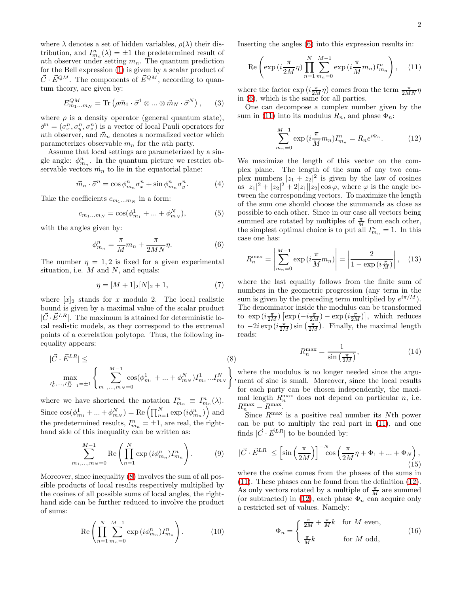where  $\lambda$  denotes a set of hidden variables,  $\rho(\lambda)$  their distribution, and  $I_{m_n}^n(\lambda) = \pm 1$  the predetermined result of nth observer under setting  $m_n$ . The quantum prediction for the Bell expression [\(1\)](#page-0-0) is given by a scalar product of  $\vec{C} \cdot \vec{E}^{QM}$ . The components of  $\vec{E}^{QM}$ , according to quantum theory, are given by:

$$
E_{m_1...m_N}^{QM} = \text{Tr}\left(\rho \vec{m}_1 \cdot \vec{\sigma}^1 \otimes ... \otimes \vec{m}_N \cdot \vec{\sigma}^N\right),\qquad(3)
$$

where  $\rho$  is a density operator (general quantum state),  $\vec{\sigma}^n = (\sigma_x^n, \sigma_y^n, \sigma_z^n)$  is a vector of local Pauli operators for nth observer, and  $\vec{m}_n$  denotes a normalized vector which parameterizes observable  $m_n$  for the nth party.

Assume that local settings are parameterized by a single angle:  $\phi_{m_n}^n$ . In the quantum picture we restrict observable vectors  $\vec{m}_n$  to lie in the equatorial plane:

$$
\vec{m}_n \cdot \vec{\sigma}^n = \cos \phi_{m_n}^n \sigma_x^n + \sin \phi_{m_n}^n \sigma_y^n. \tag{4}
$$

Take the coefficients  $c_{m_1...m_N}$  in a form:

<span id="page-1-1"></span>
$$
c_{m_1...m_N} = \cos(\phi_{m_1}^1 + ... + \phi_{m_N}^N), \tag{5}
$$

with the angles given by:

<span id="page-1-4"></span>
$$
\phi_{m_n}^n = \frac{\pi}{M} m_n + \frac{\pi}{2MN} \eta. \tag{6}
$$

The number  $\eta = 1, 2$  is fixed for a given experimental situation, i.e.  $M$  and  $N$ , and equals:

$$
\eta = [M+1]_2[N]_2 + 1,\tag{7}
$$

where  $[x]_2$  stands for x modulo 2. The local realistic bound is given by a maximal value of the scalar product  $|\vec{C}\cdot\vec{E}^{LR}|$ . The maximum is attained for deterministic local realistic models, as they correspond to the extremal points of a correlation polytope. Thus, the following inequality appears:

<span id="page-1-0"></span>
$$
|\vec{C} \cdot \vec{E}^{LR}| \leq (8)
$$
  

$$
\max_{I_0^1, \dots, I_{M-1}^N = \pm 1} \left\{ \sum_{m_1, \dots, m_N = 0}^{M-1} \cos(\phi_{m_1}^1 + \dots + \phi_{m_N}^N) I_{m_1}^1 \dots I_{m_N}^N \right\},
$$

where we have shortened the notation  $I_{m_n}^n \equiv I_{m_n}^n(\lambda)$ . Since  $\cos(\phi_{m_1}^1 + ... + \phi_{m_N}^N) = \text{Re}\left(\prod_{n=1}^N \exp(i\phi_{m_n}^n)\right)$  and the predetermined results,  $I_{m_n}^n = \pm 1$ , are real, the righthand side of this inequality can be written as:

$$
\sum_{m_1,...,m_N=0}^{M-1} \text{Re}\left(\prod_{n=1}^N \exp{(i\phi_{m_n}^n)} I_{m_n}^n\right).
$$
 (9)

Moreover, since inequality [\(8\)](#page-1-0) involves the sum of all possible products of local results respectively multiplied by the cosines of all possible sums of local angles, the righthand side can be further reduced to involve the product of sums:

$$
\operatorname{Re}\left(\prod_{n=1}^{N}\sum_{m_{n}=0}^{M-1}\exp\left(i\phi_{m_{n}}^{n}\right)I_{m_{n}}^{n}\right). \tag{10}
$$

Inserting the angles [\(6\)](#page-1-1) into this expression results in:

<span id="page-1-2"></span>
$$
\operatorname{Re}\left(\exp\left(i\frac{\pi}{2M}\eta\right)\prod_{n=1}^{N}\sum_{m_n=0}^{M-1}\exp\left(i\frac{\pi}{M}m_n\right)I_{m_n}^n\right),\quad(11)
$$

where the factor  $\exp\left(i\frac{\pi}{2M}\eta\right)$  comes from the term  $\frac{\pi}{2MN}\eta$ in [\(6\)](#page-1-1), which is the same for all parties.

One can decompose a complex number given by the sum in [\(11\)](#page-1-2) into its modulus  $R_n$ , and phase  $\Phi_n$ :

<span id="page-1-3"></span>
$$
\sum_{m_n=0}^{M-1} \exp\left(i\frac{\pi}{M}m_n\right) I_{m_n}^n = R_n e^{i\Phi_n}.\tag{12}
$$

We maximize the length of this vector on the complex plane. The length of the sum of any two complex numbers  $|z_1 + z_2|^2$  is given by the law of cosines as  $|z_1|^2 + |z_2|^2 + 2|z_1||z_2|\cos\varphi$ , where  $\varphi$  is the angle between the corresponding vectors. To maximize the length of the sum one should choose the summands as close as possible to each other. Since in our case all vectors being summed are rotated by multiples of  $\frac{\pi}{M}$  from each other, the simplest optimal choice is to put all  $I_{m_n}^n = 1$ . In this case one has:

$$
R_n^{\max} = \left| \sum_{m_n=0}^{M-1} \exp\left(i\frac{\pi}{M}m_n\right) \right| = \left| \frac{2}{1 - \exp\left(i\frac{\pi}{M}\right)} \right|, \quad (13)
$$

where the last equality follows from the finite sum of numbers in the geometric progression (any term in the sum is given by the preceding term multiplied by  $e^{i\pi/M}$ ). The denominator inside the modulus can be transformed to  $\exp\left(i\frac{\pi}{2M}\right)\left[\exp\left(-i\frac{\pi}{2M}\right)-\exp\left(i\frac{\pi}{2M}\right)\right]$ , which reduces to  $-2i \exp(i\frac{\pi}{2M}) \sin(\frac{\pi}{2M})$ . Finally, the maximal length reads:

$$
R_n^{\max} = \frac{1}{\sin\left(\frac{\pi}{2M}\right)},\tag{14}
$$

, ment of sine is small. Moreover, since the local results where the modulus is no longer needed since the argufor each party can be chosen independently, the maximal length  $R_n^{\max}$  does not depend on particular n, i.e.  $R_n^{\max} = R^{\max}$ .

Since  $R^{\text{max}}$  is a positive real number its Nth power can be put to multiply the real part in [\(11\)](#page-1-2), and one finds  $|\vec{C}\cdot\vec{E}^{LR}|$  to be bounded by:

$$
|\vec{C} \cdot \vec{E}^{LR}| \leq \left[\sin\left(\frac{\pi}{2M}\right)\right]^{-N} \cos\left(\frac{\pi}{2M}\eta + \Phi_1 + \dots + \Phi_N\right),\tag{15}
$$

where the cosine comes from the phases of the sums in [\(11\)](#page-1-2). These phases can be found from the definition [\(12\)](#page-1-3). As only vectors rotated by a multiple of  $\frac{\pi}{M}$  are summed (or subtracted) in [\(12\)](#page-1-3), each phase  $\Phi_n$  can acquire only a restricted set of values. Namely:

$$
\Phi_n = \begin{cases} \frac{\pi}{2M} + \frac{\pi}{M}k & \text{for } M \text{ even,} \\ \frac{\pi}{M}k & \text{for } M \text{ odd,} \end{cases}
$$
(16)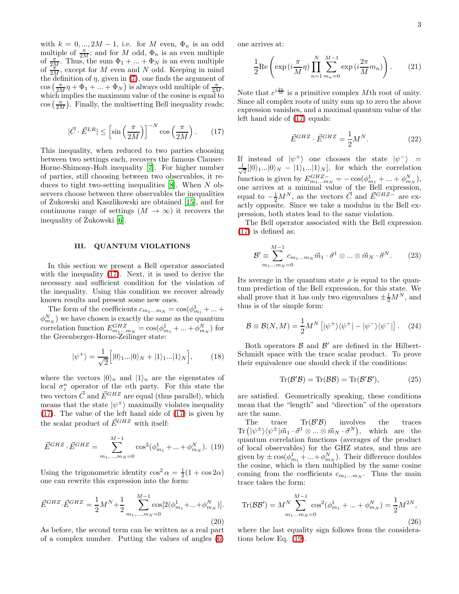with  $k = 0, ..., 2M - 1$ , i.e. for M even,  $\Phi_n$  is an odd multiple of  $\frac{\pi}{2M}$ ; and for M odd,  $\Phi_n$  is an even multiple of  $\frac{\pi}{2M}$ . Thus, the sum  $\Phi_1 + ... + \Phi_N$  is an even multiple of  $\frac{2\pi}{2M}$ , except for M even and N odd. Keeping in mind the definition of  $\eta$ , given in [\(7\)](#page-1-4), one finds the argument of  $\cos\left(\frac{\pi}{2M}\eta + \Phi_1 + \ldots + \Phi_N\right)$  is always odd multiple of  $\frac{\pi}{2M}$ , which implies the maximum value of the cosine is equal to  $\cos\left(\frac{\pi}{2M}\right)$ . Finally, the multisetting Bell inequality reads:

$$
|\vec{C} \cdot \vec{E}^{LR}| \le \left[\sin\left(\frac{\pi}{2M}\right)\right]^{-N} \cos\left(\frac{\pi}{2M}\right). \tag{17}
$$

<span id="page-2-0"></span>This inequality, when reduced to two parties choosing between two settings each, recovers the famous Clauser-Horne-Shimony-Holt inequality [\[7\]](#page-7-6). For higher number of parties, still choosing between two observables, it reduces to tight two-setting inequalities  $[8]$ . When N observers choose between three observables the inequalities of Zukowski and Kaszlikowski are obtained [\[15\]](#page-7-14), and for ˙ continuous range of settings  $(M \to \infty)$  it recovers the inequality of Zukowski [\[6](#page-7-5)].

# III. QUANTUM VIOLATIONS

In this section we present a Bell operator associated with the inequality [\(17\)](#page-2-0). Next, it is used to derive the necessary and sufficient condition for the violation of the inequality. Using this condition we recover already known results and present some new ones.

The form of the coefficients  $c_{m_1...m_N} = \cos(\phi_{m_1}^1 + ... + \phi_{m_N}^1)$  $(\phi_{m_N}^N)$  we have chosen is exactly the same as the quantum correlation function  $E_{m_1...m_N}^{GHZ} = \cos(\phi_{m_1}^1 + ... + \phi_{m_N}^N)$  for the Greenberger-Horne-Zeilinger state:

<span id="page-2-1"></span>
$$
|\psi^{+}\rangle = \frac{1}{\sqrt{2}} \Big[|0\rangle_{1}...|0\rangle_{N} + |1\rangle_{1}...|1\rangle_{N}\Big],\tag{18}
$$

where the vectors  $|0\rangle_n$  and  $|1\rangle_n$  are the eigenstates of local  $\sigma_z^n$  operator of the *n*th party. For this state the two vectors  $\vec{C}$  and  $\vec{E}^{GHZ}$  are equal (thus parallel), which means that the state  $|\psi^+\rangle$  maximally violates inequality [\(17\)](#page-2-0). The value of the left hand side of [\(17\)](#page-2-0) is given by the scalar product of  $\vec{E}^{GHZ}$  with itself:

$$
\vec{E}^{GHZ} \cdot \vec{E}^{GHZ} = \sum_{m_1, \dots, m_N = 0}^{M-1} \cos^2(\phi_{m_1}^1 + \dots + \phi_{m_N}^N). \tag{19}
$$

Using the trigonometric identity  $\cos^2 \alpha = \frac{1}{2}(1 + \cos 2\alpha)$ one can rewrite this expression into the form:

$$
\vec{E}^{GHZ} \cdot \vec{E}^{GHZ} = \frac{1}{2} M^N + \frac{1}{2} \sum_{m_1, \dots, m_N = 0}^{M-1} \cos[2(\phi_{m_1}^1 + \dots + \phi_{m_N}^N)].
$$
\n(20)

As before, the second term can be written as a real part of a complex number. Putting the values of angles [\(6\)](#page-1-1)

<span id="page-2-4"></span>one arrives at:

$$
\frac{1}{2}\text{Re}\left(\exp\left(i\frac{\pi}{M}\eta\right)\prod_{n=1}^{N}\sum_{m_n=0}^{M-1}\exp\left(i\frac{2\pi}{M}m_n\right)\right). \tag{21}
$$

Note that  $e^{i\frac{2\pi}{M}}$  is a primitive complex Mth root of unity. Since all complex roots of unity sum up to zero the above expression vanishes, and a maximal quantum value of the left hand side of [\(17\)](#page-2-0) equals:

$$
\vec{E}^{GHZ} \cdot \vec{E}^{GHZ} = \frac{1}{2}M^N.
$$
 (22)

If instead of  $|\psi^+\rangle$  one chooses the state  $|\psi^-\rangle$  = √ 1  $\frac{1}{2}$ [0i<sub>1</sub>...](0i<sub>N</sub> - |1<sub>i</sub><sub>1</sub>...](1<sub>i</sub><sub>N</sub>], for which the correlation function is given by  $E_{m_1...m_N}^{GHZ-} = -\cos(\phi_{m_1}^1 + ... + \phi_{m_N}^N)$ , one arrives at a minimal value of the Bell expression, equal to  $-\frac{1}{2}M^N$ , as the vectors  $\vec{C}$  and  $\vec{E}^{GHZ-}$  are exactly opposite. Since we take a modulus in the Bell expression, both states lead to the same violation.

<span id="page-2-3"></span>The Bell operator associated with the Bell expression [\(17\)](#page-2-0) is defined as:

$$
\mathcal{B}' \equiv \sum_{m_1...m_N=0}^{M-1} c_{m_1...m_N} \vec{m}_1 \cdot \vec{\sigma}^1 \otimes ... \otimes \vec{m}_N \cdot \vec{\sigma}^N.
$$
 (23)

Its average in the quantum state  $\rho$  is equal to the quantum prediction of the Bell expression, for this state. We shall prove that it has only two eigenvalues  $\pm \frac{1}{2}M^N$ , and thus is of the simple form:

<span id="page-2-5"></span>
$$
\mathcal{B} \equiv \mathcal{B}(N, M) = \frac{1}{2} M^N \left[ |\psi^+ \rangle \langle \psi^+| - |\psi^- \rangle \langle \psi^-| \right]. \tag{24}
$$

Both operators  $\mathcal{B}$  and  $\mathcal{B}'$  are defined in the Hilbert-Schmidt space with the trace scalar product. To prove their equivalence one should check if the conditions:

<span id="page-2-2"></span>
$$
Tr(\mathcal{B}'\mathcal{B}) = Tr(\mathcal{B}\mathcal{B}) = Tr(\mathcal{B}'\mathcal{B}'),\tag{25}
$$

are satisfied. Geometrically speaking, these conditions mean that the "length" and "direction" of the operators are the same.

The trace  $\text{Tr}(\mathcal{B}'\mathcal{B})$  involves the traces  $\text{Tr}\left(|\psi^{\pm}\rangle\langle\psi^{\pm}|\vec{m}_1\cdot\vec{\sigma}^1\otimes...\otimes\vec{m}_N\cdot\vec{\sigma}^N\right), \ \ \text{which} \ \ \text{are \ the}$ quantum correlation functions (averages of the product of local observables) for the GHZ states, and thus are given by  $\pm \cos(\phi_{m_1}^1 + ... + \phi_{m_N}^N)$ . Their difference doubles the cosine, which is then multiplied by the same cosine coming from the coefficients  $c_{m_1...m_N}$ . Thus the main trace takes the form:

$$
\text{Tr}(\mathcal{B}\mathcal{B}') = M^N \sum_{m_1...m_N=0}^{M-1} \cos^2(\phi_{m_1}^1 + ... + \phi_{m_N}^N) = \frac{1}{2} M^{2N},\tag{26}
$$

where the last equality sign follows from the considerations below Eq. [\(19\)](#page-2-1).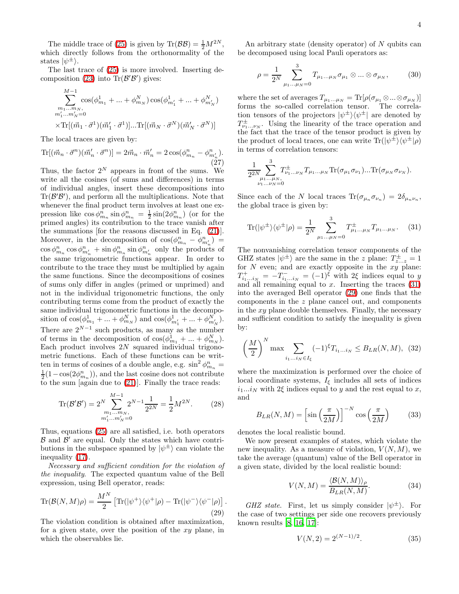The middle trace of [\(25\)](#page-2-2) is given by  $\text{Tr}(\mathcal{B}\mathcal{B}) = \frac{1}{2}M^{2N}$ , which directly follows from the orthonormality of the states  $|\psi^{\pm}\rangle$ .

The last trace of [\(25\)](#page-2-2) is more involved. Inserting de-composition [\(23\)](#page-2-3) into  $\text{Tr}(\mathcal{B}'\mathcal{B}')$  gives:

$$
\sum_{\substack{m_1...m_N, \\ m'_1...m'_N=0}}^{M-1} \cos(\phi_{m_1}^1 + ... + \phi_{m_N}^N) \cos(\phi_{m'_1}^1 + ... + \phi_{m'_N}^N)
$$
  

$$
\times \text{Tr}[(\vec{m}_1 \cdot \vec{\sigma}^1)(\vec{m}'_1 \cdot \vec{\sigma}^1)]. \cdot \text{Tr}[(\vec{m}_N \cdot \vec{\sigma}^N)(\vec{m}'_N \cdot \vec{\sigma}^N)]
$$

The local traces are given by:

$$
\text{Tr}[(\vec{m}_n \cdot \vec{\sigma}^n)(\vec{m}'_n \cdot \vec{\sigma}^n)] = 2\vec{m}_n \cdot \vec{m}'_n = 2\cos(\phi^n_{m_n} - \phi^n_{m'_n}).
$$
\n(27)

Thus, the factor  $2^N$  appears in front of the sums. We write all the cosines (of sums and differences) in terms of individual angles, insert these decompositions into  $\text{Tr}(\mathcal{B}'\mathcal{B}')$ , and perform all the multiplications. Note that whenever the final product term involves at least one expression like  $\cos \phi_{m_n}^n \sin \phi_{m_n}^n = \frac{1}{2} \sin(2\phi_{m_n}^n)$  (or for the primed angles) its contribution to the trace vanish after the summations [for the reasons discussed in Eq. [\(21\)](#page-2-4)]. Moreover, in the decomposition of  $cos(\phi_{m_n}^n - \phi_{m'_n}^n)$  =  $\cos \phi_{m_n}^n \cos \phi_{m'_n}^n + \sin \phi_{m_n}^n \sin \phi_{m'_n}^n$  only the products of the same trigonometric functions appear. In order to contribute to the trace they must be multiplied by again the same functions. Since the decompositions of cosines of sums only differ in angles (primed or unprimed) and not in the individual trigonometric functions, the only contributing terms come from the product of exactly the same individual trigonometric functions in the decomposition of  $\cos(\phi_{m_1}^1 + ... + \phi_{m_N}^N)$  and  $\cos(\phi_{m'_1}^1 + ... + \phi_{m'_N}^N)$ . There are  $2^{N-1}$  such products, as many as the number of terms in the decomposition of  $\cos(\phi_{m_1}^1 + ... + \phi_{m_N}^N)$ . Each product involves  $2N$  squared individual trigonometric functions. Each of these functions can be written in terms of cosines of a double angle, e.g.  $\sin^2 \phi_{m_n}^n =$  $\frac{1}{2}(1-\cos(2\phi_{m_n}^n))$ , and the last cosine does not contribute to the sum [again due to [\(21\)](#page-2-4)]. Finally the trace reads:

$$
\operatorname{Tr}(\mathcal{B}'\mathcal{B}') = 2^N \sum_{\substack{m_1 \dots m_N, \\ m'_1 \dots m'_N = 0}}^{M-1} 2^{N-1} \frac{1}{2^{2N}} = \frac{1}{2} M^{2N}.
$$
 (28)

Thus, equations [\(25\)](#page-2-2) are all satisfied, i.e. both operators  $\mathcal{B}$  and  $\mathcal{B}'$  are equal. Only the states which have contributions in the subspace spanned by  $|\psi^{\pm}\rangle$  can violate the inequality [\(17\)](#page-2-0).

<span id="page-3-1"></span>Necessary and sufficient condition for the violation of the inequality. The expected quantum value of the Bell expression, using Bell operator, reads:

$$
\operatorname{Tr}(\mathcal{B}(N,M)\rho) = \frac{M^N}{2} \left[ \operatorname{Tr}(|\psi^+\rangle\langle\psi^+|\rho) - \operatorname{Tr}(|\psi^-\rangle\langle\psi^-|\rho) \right]. \tag{29}
$$

The violation condition is obtained after maximization, for a given state, over the position of the xy plane, in which the observables lie.

An arbitrary state (density operator) of  $N$  qubits can be decomposed using local Pauli operators as:

$$
\rho = \frac{1}{2^N} \sum_{\mu_1...\mu_N=0}^3 T_{\mu_1...\mu_N} \sigma_{\mu_1} \otimes ... \otimes \sigma_{\mu_N},
$$
 (30)

where the set of averages  $T_{\mu_1...\mu_N} = \text{Tr}[\rho(\sigma_{\mu_1} \otimes ... \otimes \sigma_{\mu_N})]$ forms the so-called correlation tensor. The correlation tensors of the projectors  $|\psi^{\pm}\rangle\langle\psi^{\pm}|$  are denoted by  $T^{\pm}_{\nu_1...\nu_N}$ . Using the linearity of the trace operation and the fact that the trace of the tensor product is given by the product of local traces, one can write  $\text{Tr}(|\psi^{\pm}\rangle\langle\psi^{\pm}|\rho)$ in terms of correlation tensors:

$$
\frac{1}{2^{2N}} \sum_{\substack{\mu_1...\mu_N, \\ \nu_1...\nu_N=0}}^3 T^{\pm}_{\nu_1...\nu_N} T_{\mu_1...\mu_N} \text{Tr}(\sigma_{\mu_1} \sigma_{\nu_1})...\text{Tr}(\sigma_{\mu_N} \sigma_{\nu_N}).
$$

Since each of the N local traces  $\text{Tr}(\sigma_{\mu_n}\sigma_{\nu_n})=2\delta_{\mu_n\nu_n}$ , the global trace is given by:

<span id="page-3-0"></span>
$$
\text{Tr}(|\psi^{\pm}\rangle\langle\psi^{\pm}|\rho) = \frac{1}{2^N} \sum_{\mu_1...\mu_N=0}^{3} T_{\mu_1...\mu_N}^{\pm} T_{\mu_1...\mu_N}.
$$
 (31)

The nonvanishing correlation tensor components of the GHZ states  $|\psi^{\pm}\rangle$  are the same in the z plane:  $T_{z...z}^{\pm} = 1$ for  $N$  even; and are exactly opposite in the  $xy$  plane:  $T^+_{i_1...i_N} = -T^-_{i_1...i_N} = (-1)^{\xi}$  with 2ξ indices equal to y and all remaining equal to  $x$ . Inserting the traces  $(31)$ into the averaged Bell operator [\(29\)](#page-3-1) one finds that the components in the z plane cancel out, and components in the  $xy$  plane double themselves. Finally, the necessary and sufficient condition to satisfy the inequality is given by:

<span id="page-3-2"></span>
$$
\left(\frac{M}{2}\right)^N \max \sum_{i_1...i_N \in I_{\xi}} (-1)^{\xi} T_{i_1...i_N} \leq B_{LR}(N, M), \tag{32}
$$

where the maximization is performed over the choice of local coordinate systems,  $I_{\xi}$  includes all sets of indices  $i_1...i_N$  with 2ξ indices equal to y and the rest equal to x, and

$$
B_{LR}(N,M) = \left[\sin\left(\frac{\pi}{2M}\right)\right]^{-N}\cos\left(\frac{\pi}{2M}\right) \tag{33}
$$

denotes the local realistic bound.

We now present examples of states, which violate the new inequality. As a measure of violation,  $V(N, M)$ , we take the average (quantum) value of the Bell operator in a given state, divided by the local realistic bound:

$$
V(N, M) = \frac{\langle \mathcal{B}(N, M) \rangle_{\rho}}{B_{LR}(N, M)}.
$$
 (34)

GHZ state. First, let us simply consider  $|\psi^{\pm}\rangle$ . For the case of two settings per side one recovers previously known results [\[8,](#page-7-7) [16](#page-7-15), [17](#page-7-16)]:

$$
V(N,2) = 2^{(N-1)/2}.
$$
 (35)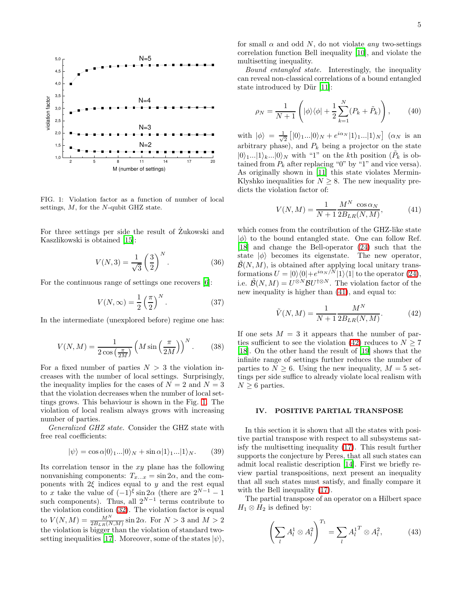

<span id="page-4-0"></span>FIG. 1: Violation factor as a function of number of local settings, M, for the N-qubit GHZ state.

For three settings per side the result of Zukowski and Kaszlikowski is obtained [\[15\]](#page-7-14):

$$
V(N,3) = \frac{1}{\sqrt{3}} \left(\frac{3}{2}\right)^N.
$$
 (36)

For the continuous range of settings one recovers [\[6](#page-7-5)]:

$$
V(N,\infty) = \frac{1}{2} \left(\frac{\pi}{2}\right)^N.
$$
 (37)

In the intermediate (unexplored before) regime one has:

$$
V(N,M) = \frac{1}{2\cos\left(\frac{\pi}{2M}\right)} \left(M\sin\left(\frac{\pi}{2M}\right)\right)^N.
$$
 (38)

For a fixed number of parties  $N > 3$  the violation increases with the number of local settings. Surprisingly, the inequality implies for the cases of  $N = 2$  and  $N = 3$ that the violation decreases when the number of local settings grows. This behaviour is shown in the Fig. [1.](#page-4-0) The violation of local realism always grows with increasing number of parties.

Generalized GHZ state. Consider the GHZ state with free real coefficients:

$$
|\psi\rangle = \cos \alpha |0\rangle_{1}...|0\rangle_{N} + \sin \alpha |1\rangle_{1}...|1\rangle_{N}. \tag{39}
$$

Its correlation tensor in the  $xy$  plane has the following nonvanishing components:  $T_{x...x} = \sin 2\alpha$ , and the components with  $2\xi$  indices equal to y and the rest equal to x take the value of  $(-1)^{\xi} \sin 2\alpha$  (there are  $2^{N-1} - 1$ such components). Thus, all  $2^{N-1}$  terms contribute to the violation condition [\(32\)](#page-3-2). The violation factor is equal to  $V(N, M) = \frac{M^N}{2B_{LR}(N, M)} \sin 2\alpha$ . For  $N > 3$  and  $M > 2$ the violation is bigger than the violation of standard two-setting inequalities [\[17\]](#page-7-16). Moreover, some of the states  $|\psi\rangle$ ,

for small  $\alpha$  and odd N, do not violate any two-settings correlation function Bell inequality [\[10\]](#page-7-9), and violate the multisetting inequality.

Bound entangled state. Interestingly, the inequality can reveal non-classical correlations of a bound entangled state introduced by Dür  $[11]$ :

$$
\rho_N = \frac{1}{N+1} \left( |\phi\rangle\langle\phi| + \frac{1}{2} \sum_{k=1}^N (P_k + \tilde{P}_k) \right), \qquad (40)
$$

with  $|\phi\rangle = \frac{1}{\sqrt{2}}$  $\frac{1}{2} \left[ |0\rangle_1 ... |0\rangle_N + e^{i\alpha_N} |1\rangle_1 ... |1\rangle_N \right] (\alpha_N \text{ is an})$ arbitrary phase), and  $P_k$  being a projector on the state  $|0\rangle_{1}...|1\rangle_{k}...|0\rangle_{N}$  with "1" on the k<sup>th</sup> position ( $\tilde{P}_{k}$  is obtained from  $P_k$  after replacing "0" by "1" and vice versa). As originally shown in [\[11\]](#page-7-10) this state violates Mermin-Klyshko inequalities for  $N \geq 8$ . The new inequality predicts the violation factor of:

<span id="page-4-1"></span>
$$
V(N, M) = \frac{1}{N+1} \frac{M^N \cos \alpha_N}{2B_{LR}(N, M)},
$$
(41)

which comes from the contribution of the GHZ-like state  $|\phi\rangle$  to the bound entangled state. One can follow Ref. [\[18\]](#page-7-17) and change the Bell-operator [\(24\)](#page-2-5) such that the state  $|\phi\rangle$  becomes its eigenstate. The new operator,  $\widetilde{\mathcal{B}}(N,M)$ , is obtained after applying local unitary transformations  $U = |0\rangle\langle 0| + e^{i\alpha_N/N} |1\rangle\langle 1|$  to the operator [\(24\)](#page-2-5), i.e.  $\widetilde{\mathcal{B}}(N,M) = U^{\otimes N} \mathcal{B} U^{\dagger \otimes N}$ . The violation factor of the new inequality is higher than [\(41\)](#page-4-1), and equal to:

<span id="page-4-2"></span>
$$
\tilde{V}(N,M) = \frac{1}{N+1} \frac{M^N}{2B_{LR}(N,M)}.
$$
\n(42)

If one sets  $M = 3$  it appears that the number of par-ties sufficient to see the violation [\(42\)](#page-4-2) reduces to  $N \geq 7$ [\[18\]](#page-7-17). On the other hand the result of [\[19](#page-7-18)] shows that the infinite range of settings further reduces the number of parties to  $N > 6$ . Using the new inequality,  $M = 5$  settings per side suffice to already violate local realism with  $N \geq 6$  parties.

### IV. POSITIVE PARTIAL TRANSPOSE

In this section it is shown that all the states with positive partial transpose with respect to all subsystems satisfy the multisetting inequality [\(17\)](#page-2-0). This result further supports the conjecture by Peres, that all such states can admit local realistic description [\[14\]](#page-7-13). First we briefly review partial transpositions, next present an inequality that all such states must satisfy, and finally compare it with the Bell inequality [\(17\)](#page-2-0).

The partial transpose of an operator on a Hilbert space  $H_1 \otimes H_2$  is defined by:

$$
\left(\sum_{l} A_l^1 \otimes A_l^2\right)^{T_1} = \sum_{l} A_l^{1\,T} \otimes A_l^2,\tag{43}
$$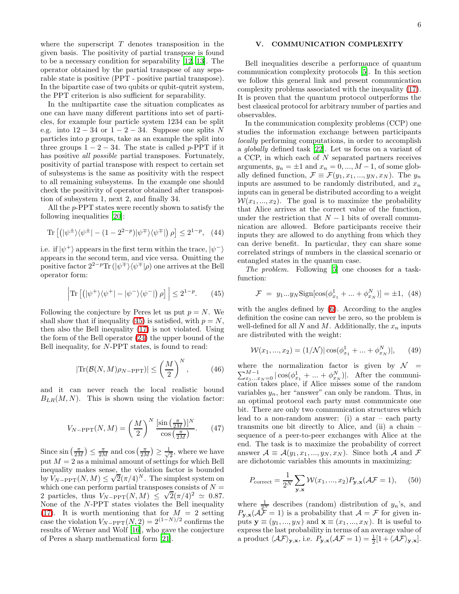where the superscript  $T$  denotes transposition in the given basis. The positivity of partial transpose is found to be a necessary condition for separability [\[12](#page-7-11), [13](#page-7-12)]. The operator obtained by the partial transpose of any separable state is positive (PPT - positive partial transpose). In the bipartite case of two qubits or qubit-qutrit system, the PPT criterion is also sufficient for separability.

In the multipartite case the situation complicates as one can have many different partitions into set of particles, for example four particle system 1234 can be split e.g. into  $12 - 34$  or  $1 - 2 - 34$ . Suppose one splits N particles into  $p$  groups, take as an example the split into three groups  $1 - 2 - 34$ . The state is called p-PPT if it has positive *all possible* partial transposes. Fortunately, positivity of partial transpose with respect to certain set of subsystems is the same as positivity with the respect to all remaining subsystems. In the example one should check the positivity of operator obtained after transposition of subsystem 1, next 2, and finally 34.

All the p-PPT states were recently shown to satisfy the following inequalities [\[20](#page-7-19)]:

$$
\operatorname{Tr}\left[\left(|\psi^{\pm}\rangle\langle\psi^{\pm}| - (1 - 2^{2-p})|\psi^{\mp}\rangle\langle\psi^{\mp}|\right)\rho\right] \le 2^{1-p}, \quad (44)
$$

<span id="page-5-0"></span>i.e. if  $|\psi^+\rangle$  appears in the first term within the trace,  $|\psi^-\rangle$ appears in the second term, and vice versa. Omitting the positive factor  $2^{2-p}\text{Tr}\left(|\psi^{\pm}\rangle\langle\psi^{\pm}|\rho\right)$  one arrives at the Bell operator form:

$$
\left| \text{Tr} \left[ \left( |\psi^+ \rangle \langle \psi^+| - |\psi^- \rangle \langle \psi^-| \right) \rho \right] \right| \le 2^{1-p} . \tag{45}
$$

Following the conjecture by Peres let us put  $p = N$ . We shall show that if inequality [\(45\)](#page-5-0) is satisfied, with  $p = N$ , then also the Bell inequality [\(17\)](#page-2-0) is not violated. Using the form of the Bell operator [\(24\)](#page-2-5) the upper bound of the Bell inequality, for N-PPT states, is found to read:

$$
|\text{Tr}(\mathcal{B}(N,M)\rho_{N-\text{PPT}})| \le \left(\frac{M}{2}\right)^N,\tag{46}
$$

and it can never reach the local realistic bound  $B_{LR}(M, N)$ . This is shown using the violation factor:

$$
V_{N-\text{PPT}}(N,M) = \left(\frac{M}{2}\right)^N \frac{\left[\sin\left(\frac{\pi}{2M}\right)\right]^N}{\cos\left(\frac{\pi}{2M}\right)}.\tag{47}
$$

Since  $\sin\left(\frac{\pi}{2M}\right) \leq \frac{\pi}{2M}$  and  $\cos\left(\frac{\pi}{2M}\right) \geq \frac{1}{\sqrt{2}}$  $\frac{1}{2}$ , where we have put  $M = 2$  as a minimal amount of settings for which Bell inequality makes sense, the violation factor is bounded by  $V_{N-{\rm PPT}}(N, M) \leq \sqrt{2} (\pi/4)^N$ . The simplest system on which one can perform partial transposes consists of  $N =$ 2 particles, thus  $V_{N-{\rm PPT}}(N, M) \leq \sqrt{2} (\pi/4)^2 \simeq 0.87$ . None of the N-PPT states violates the Bell inequality [\(17\)](#page-2-0). It is worth mentioning that for  $M = 2$  setting case the violation  $V_{N-PPT}(N, 2) = 2^{(1-N)/2}$  confirms the results of Werner and Wolf [\[16](#page-7-15)], who gave the conjecture of Peres a sharp mathematical form [\[21](#page-7-20)].

# V. COMMUNICATION COMPLEXITY

Bell inequalities describe a performance of quantum communication complexity protocols [\[5\]](#page-7-4). In this section we follow this general link and present communication complexity problems associated with the inequality [\(17\)](#page-2-0). It is proven that the quantum protocol outperforms the best classical protocol for arbitrary number of parties and observables.

In the communication complexity problems (CCP) one studies the information exchange between participants locally performing computations, in order to accomplish a globally defined task [\[22\]](#page-7-21). Let us focus on a variant of a CCP, in which each of N separated partners receives arguments,  $y_n = \pm 1$  and  $x_n = 0, ..., M - 1$ , of some globally defined function,  $\mathcal{F} \equiv \mathcal{F}(y_1, x_1, ..., y_N, x_N)$ . The  $y_n$ inputs are assumed to be randomly distributed, and  $x_n$ inputs can in general be distributed according to a weight  $W(x_1, ..., x_2)$ . The goal is to maximize the probability that Alice arrives at the correct value of the function, under the restriction that  $N-1$  bits of overall communication are allowed. Before participants receive their inputs they are allowed to do anything from which they can derive benefit. In particular, they can share some correlated strings of numbers in the classical scenario or entangled states in the quantum case.

The problem. Following [\[5](#page-7-4)] one chooses for a taskfunction:

$$
\mathcal{F} = y_1...y_N \text{Sign}[\cos(\phi_{x_1}^1 + ... + \phi_{x_N}^N)] = \pm 1, \tag{48}
$$

<span id="page-5-2"></span>with the angles defined by [\(6\)](#page-1-1). According to the angles definition the cosine can never be zero, so the problem is well-defined for all N and M. Additionally, the  $x_n$  inputs are distributed with the weight:

<span id="page-5-1"></span>
$$
W(x_1, ..., x_2) = (1/N)|\cos(\phi_{x_1}^1 + ... + \phi_{x_N}^N)|, \qquad (49)
$$

where the normalization factor is given by  $\mathcal{N} = \sum_{x_1...x_N=0}^{M-1} |\cos(\phi_{x_1}^1 + ... + \phi_{x_N}^N)|$ . After the communication takes place, if Alice misses some of the random variables  $y_n$ , her "answer" can only be random. Thus, in an optimal protocol each party must communicate one bit. There are only two communication structures which lead to a non-random answer: (i) a star – each party transmits one bit directly to Alice, and (ii) a chain – sequence of a peer-to-peer exchanges with Alice at the end. The task is to maximize the probability of correct answer  $\mathcal{A} \equiv \mathcal{A}(y_1, x_1, ..., y_N, x_N)$ . Since both  $\mathcal{A}$  and  $\mathcal{F}$ are dichotomic variables this amounts in maximizing:

$$
P_{\text{correct}} = \frac{1}{2^N} \sum_{\mathbf{y}, \mathbf{x}} \mathcal{W}(x_1, ..., x_2) P_{\mathbf{y}, \mathbf{x}} (\mathcal{A}\mathcal{F} = 1), \quad (50)
$$

where  $\frac{1}{2^N}$  describes (random) distribution of  $y_n$ 's, and  $P_{\mathbf{y},\mathbf{x}}(\mathcal{AF}=1)$  is a probability that  $\mathcal{A}=\mathcal{F}$  for given inputs  $\mathbf{y} \equiv (y_1, ..., y_N)$  and  $\mathbf{x} \equiv (x_1, ..., x_N)$ . It is useful to express the last probability in terms of an average value of a product  $\langle \mathcal{AF} \rangle_{\mathbf{y},\mathbf{x}}$ , i.e.  $P_{\mathbf{y},\mathbf{x}}(\mathcal{AF} = 1) = \frac{1}{2}[1 + \langle \mathcal{AF} \rangle_{\mathbf{y},\mathbf{x}}].$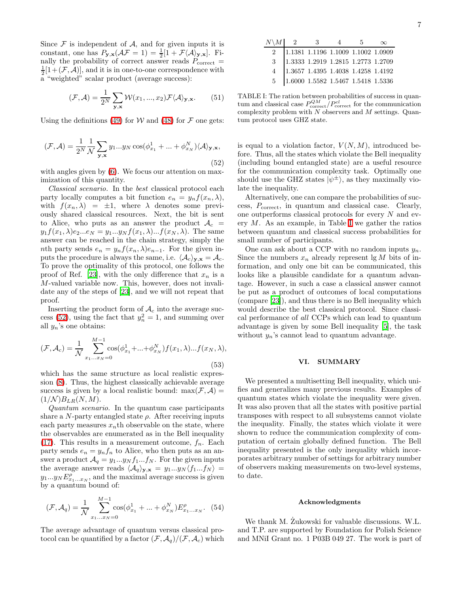Since  $\mathcal F$  is independent of  $\mathcal A$ , and for given inputs it is constant, one has  $P_{\mathbf{y},\mathbf{x}}(\mathcal{A}\mathcal{F}=1)=\frac{1}{2}[1+\mathcal{F}\langle\mathcal{A}\rangle_{\mathbf{y},\mathbf{x}}].$  Finally the probability of correct answer reads  $P_{\text{correct}} =$  $\frac{1}{2}[1+(\mathcal{F},\mathcal{A})]$ , and it is in one-to-one correspondence with a "weighted" scalar product (average success):

$$
(\mathcal{F}, \mathcal{A}) = \frac{1}{2^N} \sum_{\mathbf{y}, \mathbf{x}} \mathcal{W}(x_1, ..., x_2) \mathcal{F} \langle \mathcal{A} \rangle_{\mathbf{y}, \mathbf{x}}.
$$
 (51)

<span id="page-6-0"></span>Using the definitions [\(49\)](#page-5-1) for W and [\(48\)](#page-5-2) for  $\mathcal F$  one gets:

$$
(\mathcal{F}, \mathcal{A}) = \frac{1}{2^N} \frac{1}{\mathcal{N}} \sum_{\mathbf{y}, \mathbf{x}} y_1 \dots y_N \cos(\phi_{x_1}^1 + \dots + \phi_{x_N}^N) \langle \mathcal{A} \rangle_{\mathbf{y}, \mathbf{x}},
$$
\n(52)

with angles given by  $(6)$ . We focus our attention on maximization of this quantity.

Classical scenario. In the best classical protocol each party locally computes a bit function  $e_n = y_n f(x_n, \lambda)$ , with  $f(x_n, \lambda) = \pm 1$ , where  $\lambda$  denotes some previously shared classical resources. Next, the bit is sent to Alice, who puts as an answer the product  $A_c =$  $y_1 f(x_1, \lambda) e_2...e_N = y_1...y_N f(x_1, \lambda) ... f(x_N, \lambda)$ . The same answer can be reached in the chain strategy, simply the nth party sends  $e_n = y_n f(x_n, \lambda) e_{n-1}$ . For the given inputs the procedure is always the same, i.e.  $\langle A_c \rangle_{\mathbf{y},\mathbf{x}} = A_c$ . To prove the optimality of this protocol, one follows the proof of Ref. [\[23\]](#page-7-22), with the only difference that  $x_n$  is a M-valued variable now. This, however, does not invalidate any of the steps of [\[23\]](#page-7-22), and we will not repeat that proof.

Inserting the product form of  $A_c$  into the average suc-cess [\(52\)](#page-6-0), using the fact that  $y_n^2 = 1$ , and summing over all  $y_n$ 's one obtains:

$$
(\mathcal{F}, \mathcal{A}_c) = \frac{1}{N} \sum_{x_1...x_N=0}^{M-1} \cos(\phi_{x_1}^1 + ... + \phi_{x_N}^N) f(x_1, \lambda) ... f(x_N, \lambda),
$$
\n(53)

which has the same structure as local realistic expression [\(8\)](#page-1-0). Thus, the highest classically achievable average success is given by a local realistic bound: max $(\mathcal{F}, \mathcal{A}) =$  $(1/\mathcal{N})B_{LR}(N,M).$ 

Quantum scenario. In the quantum case participants share a N-party entangled state  $\rho$ . After receiving inputs each party measures  $x_n$ th observable on the state, where the observables are enumerated as in the Bell inequality  $(17)$ . This results in a measurement outcome,  $f_n$ . Each party sends  $e_n = y_n f_n$  to Alice, who then puts as an answer a product  $\mathcal{A}_q = y_1...y_N f_1...f_N$ . For the given inputs the average answer reads  $\langle A_q \rangle_{\mathbf{y},\mathbf{x}} = y_1...y_N \langle f_1...f_N \rangle$  =  $y_1...y_N E_{x_1...x_N}^{\rho}$ , and the maximal average success is given by a quantum bound of:

$$
(\mathcal{F}, \mathcal{A}_q) = \frac{1}{\mathcal{N}} \sum_{x_1...x_N=0}^{M-1} \cos(\phi_{x_1}^1 + ... + \phi_{x_N}^N) E_{x_1...x_N}^{\rho}.
$$
 (54)

The average advantage of quantum versus classical protocol can be quantified by a factor  $(\mathcal{F}, \mathcal{A}_q)/(\mathcal{F}, \mathcal{A}_c)$  which

<span id="page-6-1"></span>TABLE I: The ration between probabilities of success in quantum and classical case  $P_{\text{correct}}^{QM}/P_{\text{correct}}^{cl}$  for the communication complexity problem with  $N$  observers and  $M$  settings. Quantum protocol uses GHZ state.

is equal to a violation factor,  $V(N, M)$ , introduced before. Thus, all the states which violate the Bell inequality (including bound entangled state) are a useful resource for the communication complexity task. Optimally one should use the GHZ states  $|\psi^{\pm}\rangle$ , as they maximally violate the inequality.

Alternatively, one can compare the probabilities of success,  $P_{\text{correct}}$ , in quantum and classical case. Clearly, one outperforms classical protocols for every N and every  $M$ . As an example, in Table [I](#page-6-1) we gather the ratios between quantum and classical success probabilities for small number of participants.

One can ask about a CCP with no random inputs  $y_n$ . Since the numbers  $x_n$  already represent lg M bits of information, and only one bit can be communicated, this looks like a plausible candidate for a quantum advantage. However, in such a case a classical answer cannot be put as a product of outcomes of local computations (compare [\[23\]](#page-7-22)), and thus there is no Bell inequality which would describe the best classical protocol. Since classical performance of all CCPs which can lead to quantum advantage is given by some Bell inequality [\[5\]](#page-7-4), the task without  $y_n$ 's cannot lead to quantum advantage.

#### VI. SUMMARY

We presented a multisetting Bell inequality, which unifies and generalizes many previous results. Examples of quantum states which violate the inequality were given. It was also proven that all the states with positive partial transposes with respect to all subsystems cannot violate the inequality. Finally, the states which violate it were shown to reduce the communication complexity of computation of certain globally defined function. The Bell inequality presented is the only inequality which incorporates arbitrary number of settings for arbitrary number of observers making measurements on two-level systems, to date.

#### Acknowledgments

We thank M. Zukowski for valuable discussions. W.L. and T.P. are supported by Foundation for Polish Science and MNiI Grant no. 1 P03B 049 27. The work is part of